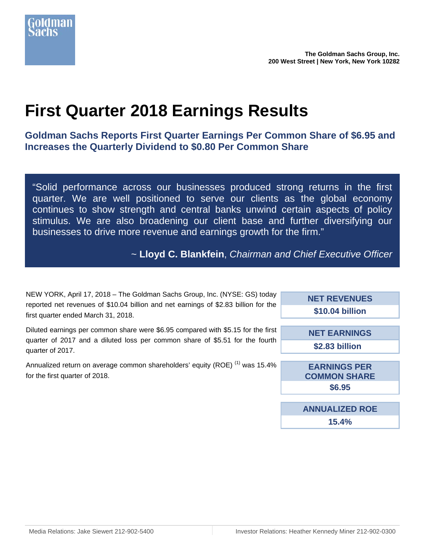

# **First Quarter 2018 Earnings Results**

**Goldman Sachs Reports First Quarter Earnings Per Common Share of \$6.95 and Increases the Quarterly Dividend to \$0.80 Per Common Share** 

"Solid performance across our businesses produced strong returns in the first quarter. We are well positioned to serve our clients as the global economy continues to show strength and central banks unwind certain aspects of policy stimulus. We are also broadening our client base and further diversifying our businesses to drive more revenue and earnings growth for the firm."

~ **Lloyd C. Blankfein**, *Chairman and Chief Executive Officer*

| NEW YORK, April 17, 2018 – The Goldman Sachs Group, Inc. (NYSE: GS) today           |  |
|-------------------------------------------------------------------------------------|--|
| reported net revenues of \$10.04 billion and net earnings of \$2.83 billion for the |  |
| first quarter ended March 31, 2018.                                                 |  |
|                                                                                     |  |

Diluted earnings per common share were \$6.95 compared with \$5.15 for the first quarter of 2017 and a diluted loss per common share of \$5.51 for the fourth quarter of 2017.

Annualized return on average common shareholders' equity (ROE)<sup>(1)</sup> was 15.4% for the first quarter of 2018.

| ١V<br>e  | <b>NET REVENUES</b>   |
|----------|-----------------------|
|          | \$10.04 billion       |
|          |                       |
| st<br>'n | <b>NET EARNINGS</b>   |
|          | \$2.83 billion        |
|          |                       |
| ℅        | <b>EARNINGS PER</b>   |
|          | <b>COMMON SHARE</b>   |
|          | \$6.95                |
|          |                       |
|          | <b>ANNUALIZED ROE</b> |
|          | 15.4%                 |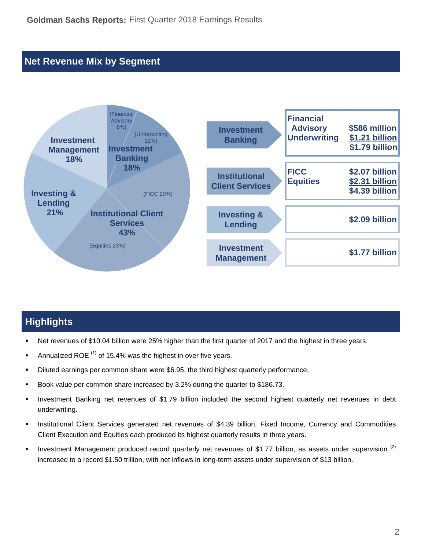## **Net Revenue Mix by Segment**



# **Highlights**

- Net revenues of \$10.04 billion were 25% higher than the first quarter of 2017 and the highest in three years.
- Annualized ROE  $<sup>(1)</sup>$  of 15.4% was the highest in over five years.</sup>
- **Diluted earnings per common share were \$6.95, the third highest quarterly performance.**
- Book value per common share increased by 3.2% during the quarter to \$186.73.
- Investment Banking net revenues of \$1.79 billion included the second highest quarterly net revenues in debt underwriting.
- Institutional Client Services generated net revenues of \$4.39 billion. Fixed Income, Currency and Commodities Client Execution and Equities each produced its highest quarterly results in three years.
- Investment Management produced record quarterly net revenues of \$1.77 billion, as assets under supervision  $(2)$ increased to a record \$1.50 trillion, with net inflows in long-term assets under supervision of \$13 billion.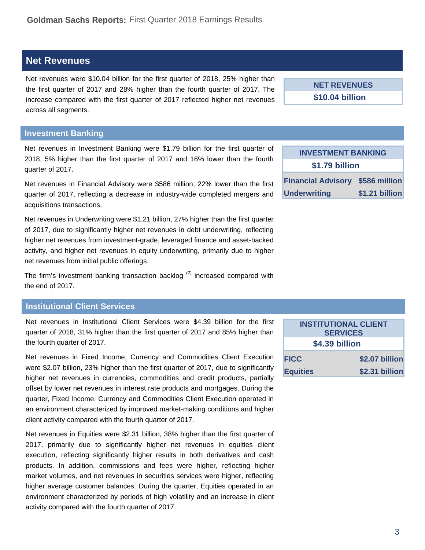# **Net Revenues**

Net revenues were \$10.04 billion for the first quarter of 2018, 25% higher than the first quarter of 2017 and 28% higher than the fourth quarter of 2017. The increase compared with the first quarter of 2017 reflected higher net revenues across all segments.

### **Investment Banking**

Net revenues in Investment Banking were \$1.79 billion for the first quarter of 2018, 5% higher than the first quarter of 2017 and 16% lower than the fourth quarter of 2017.

Net revenues in Financial Advisory were \$586 million, 22% lower than the first quarter of 2017, reflecting a decrease in industry-wide completed mergers and acquisitions transactions.

Net revenues in Underwriting were \$1.21 billion, 27% higher than the first quarter of 2017, due to significantly higher net revenues in debt underwriting, reflecting higher net revenues from investment-grade, leveraged finance and asset-backed activity, and higher net revenues in equity underwriting, primarily due to higher net revenues from initial public offerings.

The firm's investment banking transaction backlog  $(2)$  increased compared with the end of 2017.

### **Institutional Client Services**

Net revenues in Institutional Client Services were \$4.39 billion for the first quarter of 2018, 31% higher than the first quarter of 2017 and 85% higher than the fourth quarter of 2017.

Net revenues in Fixed Income, Currency and Commodities Client Execution were \$2.07 billion, 23% higher than the first quarter of 2017, due to significantly higher net revenues in currencies, commodities and credit products, partially offset by lower net revenues in interest rate products and mortgages. During the quarter, Fixed Income, Currency and Commodities Client Execution operated in an environment characterized by improved market-making conditions and higher client activity compared with the fourth quarter of 2017.

Net revenues in Equities were \$2.31 billion, 38% higher than the first quarter of 2017, primarily due to significantly higher net revenues in equities client execution, reflecting significantly higher results in both derivatives and cash products. In addition, commissions and fees were higher, reflecting higher market volumes, and net revenues in securities services were higher, reflecting higher average customer balances. During the quarter, Equities operated in an environment characterized by periods of high volatility and an increase in client activity compared with the fourth quarter of 2017.

**INVESTMENT BANKING \$1.79 billion Financial Advisory \$586 million Underwriting \$1.21 billion** 

**NET REVENUES \$10.04 billion** 

| <b>INSTITUTIONAL CLIENT</b><br><b>SERVICES</b> |                |  |  |  |  |  |
|------------------------------------------------|----------------|--|--|--|--|--|
| \$4.39 billion                                 |                |  |  |  |  |  |
| <b>FICC</b>                                    | \$2.07 billion |  |  |  |  |  |
| <b>Equities</b>                                | \$2.31 billion |  |  |  |  |  |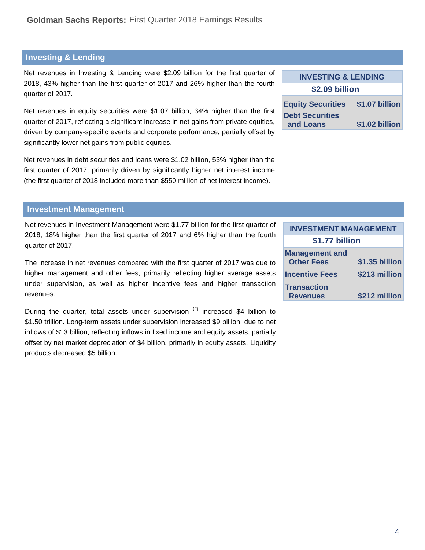### **Investing & Lending**

Net revenues in Investing & Lending were \$2.09 billion for the first quarter of 2018, 43% higher than the first quarter of 2017 and 26% higher than the fourth quarter of 2017.

Net revenues in equity securities were \$1.07 billion, 34% higher than the first quarter of 2017, reflecting a significant increase in net gains from private equities, driven by company-specific events and corporate performance, partially offset by significantly lower net gains from public equities.

Net revenues in debt securities and loans were \$1.02 billion, 53% higher than the first quarter of 2017, primarily driven by significantly higher net interest income (the first quarter of 2018 included more than \$550 million of net interest income).

| INVESTING & LENDING |  |  |  |  |  |  |  |
|---------------------|--|--|--|--|--|--|--|
| \$2.09 billion      |  |  |  |  |  |  |  |
| \$1.07 billion      |  |  |  |  |  |  |  |
| \$1.02 billion      |  |  |  |  |  |  |  |
|                     |  |  |  |  |  |  |  |

**INVESTING & LENDING** 

#### **Investment Management**

Net revenues in Investment Management were \$1.77 billion for the first quarter of 2018, 18% higher than the first quarter of 2017 and 6% higher than the fourth quarter of 2017.

The increase in net revenues compared with the first quarter of 2017 was due to higher management and other fees, primarily reflecting higher average assets under supervision, as well as higher incentive fees and higher transaction revenues.

During the quarter, total assets under supervision  $(2)$  increased \$4 billion to \$1.50 trillion. Long-term assets under supervision increased \$9 billion, due to net inflows of \$13 billion, reflecting inflows in fixed income and equity assets, partially offset by net market depreciation of \$4 billion, primarily in equity assets. Liquidity products decreased \$5 billion.

| <b>INVESTMENT MANAGEMENT</b>               |                |  |  |  |  |  |  |  |
|--------------------------------------------|----------------|--|--|--|--|--|--|--|
| \$1.77 billion                             |                |  |  |  |  |  |  |  |
| <b>Management and</b><br><b>Other Fees</b> | \$1.35 billion |  |  |  |  |  |  |  |
| <b>Incentive Fees</b>                      | \$213 million  |  |  |  |  |  |  |  |
| <b>Transaction</b><br><b>Revenues</b>      | \$212 million  |  |  |  |  |  |  |  |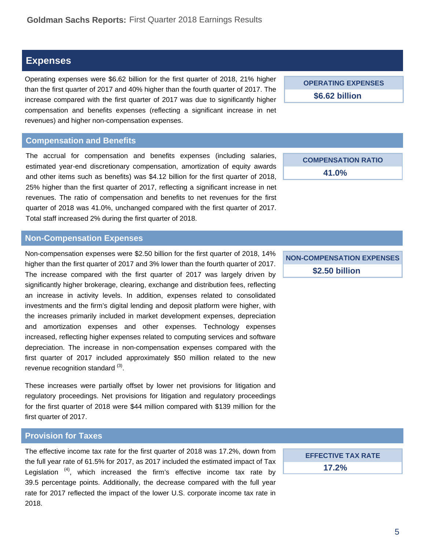### **Expenses**

Operating expenses were \$6.62 billion for the first quarter of 2018, 21% higher than the first quarter of 2017 and 40% higher than the fourth quarter of 2017. The increase compared with the first quarter of 2017 was due to significantly higher compensation and benefits expenses (reflecting a significant increase in net revenues) and higher non-compensation expenses.

#### **Compensation and Benefits**

The accrual for compensation and benefits expenses (including salaries, estimated year-end discretionary compensation, amortization of equity awards and other items such as benefits) was \$4.12 billion for the first quarter of 2018, 25% higher than the first quarter of 2017, reflecting a significant increase in net revenues. The ratio of compensation and benefits to net revenues for the first quarter of 2018 was 41.0%, unchanged compared with the first quarter of 2017. Total staff increased 2% during the first quarter of 2018.

### **Non-Compensation Expenses**

Non-compensation expenses were \$2.50 billion for the first quarter of 2018, 14% higher than the first quarter of 2017 and 3% lower than the fourth quarter of 2017. The increase compared with the first quarter of 2017 was largely driven by significantly higher brokerage, clearing, exchange and distribution fees, reflecting an increase in activity levels. In addition, expenses related to consolidated investments and the firm's digital lending and deposit platform were higher, with the increases primarily included in market development expenses, depreciation and amortization expenses and other expenses. Technology expenses increased, reflecting higher expenses related to computing services and software depreciation. The increase in non-compensation expenses compared with the first quarter of 2017 included approximately \$50 million related to the new revenue recognition standard (3).

These increases were partially offset by lower net provisions for litigation and regulatory proceedings. Net provisions for litigation and regulatory proceedings for the first quarter of 2018 were \$44 million compared with \$139 million for the first quarter of 2017.

### **Provision for Taxes**

The effective income tax rate for the first quarter of 2018 was 17.2%, down from the full year rate of 61.5% for 2017, as 2017 included the estimated impact of Tax Legislation  $(4)$ , which increased the firm's effective income tax rate by 39.5 percentage points. Additionally, the decrease compared with the full year rate for 2017 reflected the impact of the lower U.S. corporate income tax rate in 2018.

**OPERATING EXPENSES \$6.62 billion** 

**COMPENSATION RATIO 41.0%** 

**NON-COMPENSATION EXPENSES \$2.50 billion** 

> **EFFECTIVE TAX RATE 17.2%**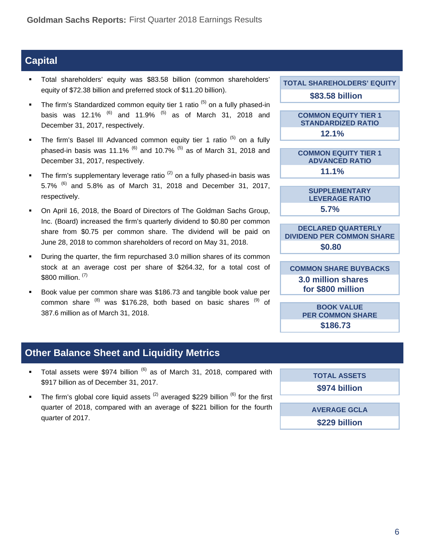### **Capital**

- Total shareholders' equity was \$83.58 billion (common shareholders' equity of \$72.38 billion and preferred stock of \$11.20 billion).
- The firm's Standardized common equity tier 1 ratio  $(5)$  on a fully phased-in basis was 12.1%  $^{(6)}$  and 11.9%  $^{(5)}$  as of March 31, 2018 and December 31, 2017, respectively.
- The firm's Basel III Advanced common equity tier 1 ratio (5) on a fully phased-in basis was 11.1%  $^{(6)}$  and 10.7%  $^{(5)}$  as of March 31, 2018 and December 31, 2017, respectively.
- The firm's supplementary leverage ratio<sup>(2)</sup> on a fully phased-in basis was 5.7%  $^{(6)}$  and 5.8% as of March 31, 2018 and December 31, 2017, respectively.
- On April 16, 2018, the Board of Directors of The Goldman Sachs Group, Inc. (Board) increased the firm's quarterly dividend to \$0.80 per common share from \$0.75 per common share. The dividend will be paid on June 28, 2018 to common shareholders of record on May 31, 2018.
- During the quarter, the firm repurchased 3.0 million shares of its common stock at an average cost per share of \$264.32, for a total cost of \$800 million. (7)
- Book value per common share was \$186.73 and tangible book value per common share  $^{(8)}$  was \$176.28, both based on basic shares  $^{(9)}$  of 387.6 million as of March 31, 2018.

**TOTAL SHAREHOLDERS' EQUITY** 

**\$83.58 billion** 

**COMMON EQUITY TIER 1 STANDARDIZED RATIO 12.1%** 

**COMMON EQUITY TIER 1 ADVANCED RATIO 11.1%** 

> **SUPPLEMENTARY LEVERAGE RATIO 5.7%**

**DECLARED QUARTERLY DIVIDEND PER COMMON SHARE \$0.80** 

**COMMON SHARE BUYBACKS 3.0 million shares for \$800 million** 

> **BOOK VALUE PER COMMON SHARE \$186.73**

### **Other Balance Sheet and Liquidity Metrics**

- Total assets were \$974 billion  $^{(6)}$  as of March 31, 2018, compared with \$917 billion as of December 31, 2017.
- The firm's global core liquid assets  $(2)$  averaged \$229 billion  $(6)$  for the first quarter of 2018, compared with an average of \$221 billion for the fourth quarter of 2017.

**TOTAL ASSETS \$974 billion** 

**AVERAGE GCLA \$229 billion**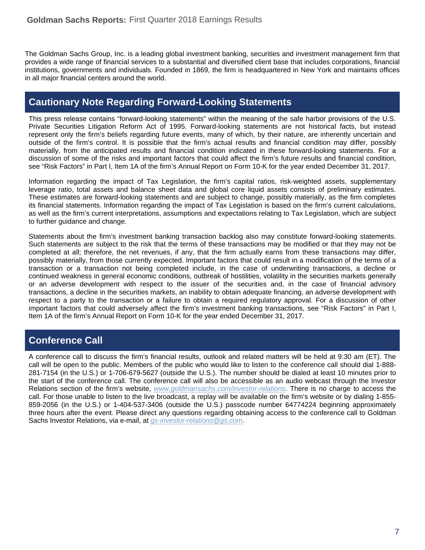The Goldman Sachs Group, Inc. is a leading global investment banking, securities and investment management firm that provides a wide range of financial services to a substantial and diversified client base that includes corporations, financial institutions, governments and individuals. Founded in 1869, the firm is headquartered in New York and maintains offices in all major financial centers around the world.

# **Cautionary Note Regarding Forward-Looking Statements**

This press release contains "forward-looking statements" within the meaning of the safe harbor provisions of the U.S. Private Securities Litigation Reform Act of 1995. Forward-looking statements are not historical facts, but instead represent only the firm's beliefs regarding future events, many of which, by their nature, are inherently uncertain and outside of the firm's control. It is possible that the firm's actual results and financial condition may differ, possibly materially, from the anticipated results and financial condition indicated in these forward-looking statements. For a discussion of some of the risks and important factors that could affect the firm's future results and financial condition, see "Risk Factors" in Part I, Item 1A of the firm's Annual Report on Form 10-K for the year ended December 31, 2017.

Information regarding the impact of Tax Legislation, the firm's capital ratios, risk-weighted assets, supplementary leverage ratio, total assets and balance sheet data and global core liquid assets consists of preliminary estimates. These estimates are forward-looking statements and are subject to change, possibly materially, as the firm completes its financial statements. Information regarding the impact of Tax Legislation is based on the firm's current calculations, as well as the firm's current interpretations, assumptions and expectations relating to Tax Legislation, which are subject to further guidance and change.

Statements about the firm's investment banking transaction backlog also may constitute forward-looking statements. Such statements are subject to the risk that the terms of these transactions may be modified or that they may not be completed at all; therefore, the net revenues, if any, that the firm actually earns from these transactions may differ, possibly materially, from those currently expected. Important factors that could result in a modification of the terms of a transaction or a transaction not being completed include, in the case of underwriting transactions, a decline or continued weakness in general economic conditions, outbreak of hostilities, volatility in the securities markets generally or an adverse development with respect to the issuer of the securities and, in the case of financial advisory transactions, a decline in the securities markets, an inability to obtain adequate financing, an adverse development with respect to a party to the transaction or a failure to obtain a required regulatory approval. For a discussion of other important factors that could adversely affect the firm's investment banking transactions, see "Risk Factors" in Part I, Item 1A of the firm's Annual Report on Form 10-K for the year ended December 31, 2017.

### **Conference Call**

A conference call to discuss the firm's financial results, outlook and related matters will be held at 9:30 am (ET). The call will be open to the public. Members of the public who would like to listen to the conference call should dial 1-888- 281-7154 (in the U.S.) or 1-706-679-5627 (outside the U.S.). The number should be dialed at least 10 minutes prior to the start of the conference call. The conference call will also be accessible as an audio webcast through the Investor Relations section of the firm's website, *www.goldmansachs.com/investor-relations*. There is no charge to access the call. For those unable to listen to the live broadcast, a replay will be available on the firm's website or by dialing 1-855- 859-2056 (in the U.S.) or 1-404-537-3406 (outside the U.S.) passcode number 64774224 beginning approximately three hours after the event. Please direct any questions regarding obtaining access to the conference call to Goldman Sachs Investor Relations, via e-mail, at *gs-investor-relations@gs.com*.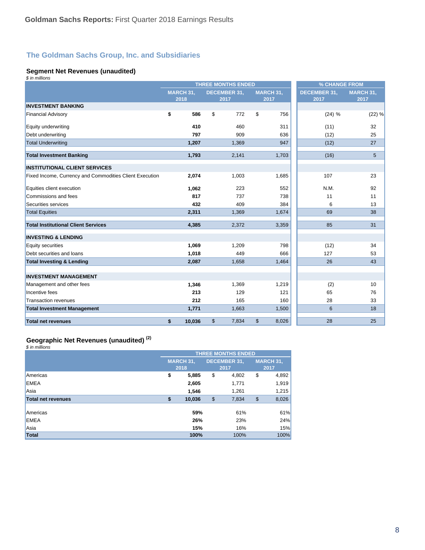#### **Segment Net Revenues (unaudited)**

| \$ in millions                                          |                  |                           |               |           |                     |                  |  |  |
|---------------------------------------------------------|------------------|---------------------------|---------------|-----------|---------------------|------------------|--|--|
|                                                         |                  | <b>THREE MONTHS ENDED</b> |               |           |                     | % CHANGE FROM    |  |  |
|                                                         | <b>MARCH 31.</b> | <b>DECEMBER 31,</b>       |               | MARCH 31, | <b>DECEMBER 31,</b> | <b>MARCH 31,</b> |  |  |
|                                                         | 2018             | 2017                      |               | 2017      | 2017                | 2017             |  |  |
| <b>INVESTMENT BANKING</b>                               |                  |                           |               |           |                     |                  |  |  |
| <b>Financial Advisory</b>                               | \$<br>586        | \$<br>772                 | \$            | 756       | (24) %              | (22) %           |  |  |
| Equity underwriting                                     | 410              | 460                       |               | 311       | (11)                | 32               |  |  |
| Debt underwriting                                       | 797              | 909                       |               | 636       | (12)                | 25               |  |  |
| <b>Total Underwriting</b>                               | 1,207            | 1,369                     |               | 947       | (12)                | 27               |  |  |
| <b>Total Investment Banking</b>                         | 1,793            | 2,141                     |               | 1,703     | (16)                | 5                |  |  |
| <b>INSTITUTIONAL CLIENT SERVICES</b>                    |                  |                           |               |           |                     |                  |  |  |
| Fixed Income, Currency and Commodities Client Execution | 2,074            | 1,003                     |               | 1,685     | 107                 | 23               |  |  |
| Equities client execution                               | 1,062            | 223                       |               | 552       | N.M.                | 92               |  |  |
| Commissions and fees                                    | 817              | 737                       |               | 738       | 11                  | 11               |  |  |
| Securities services                                     | 432              | 409                       |               | 384       | 6                   | 13               |  |  |
| <b>Total Equities</b>                                   | 2,311            | 1,369                     |               | 1,674     | 69                  | 38               |  |  |
| <b>Total Institutional Client Services</b>              | 4,385            | 2,372                     |               | 3,359     | 85                  | 31               |  |  |
| <b>INVESTING &amp; LENDING</b>                          |                  |                           |               |           |                     |                  |  |  |
| Equity securities                                       | 1,069            | 1,209                     |               | 798       | (12)                | 34               |  |  |
| Debt securities and loans                               | 1,018            | 449                       |               | 666       | 127                 | 53               |  |  |
| <b>Total Investing &amp; Lending</b>                    | 2,087            | 1,658                     |               | 1,464     | 26                  | 43               |  |  |
| <b>INVESTMENT MANAGEMENT</b>                            |                  |                           |               |           |                     |                  |  |  |
| Management and other fees                               | 1.346            | 1.369                     |               | 1.219     | (2)                 | 10               |  |  |
| Incentive fees                                          | 213              | 129                       |               | 121       | 65                  | 76               |  |  |
| Transaction revenues                                    | 212              | 165                       |               | 160       | 28                  | 33               |  |  |
| <b>Total Investment Management</b>                      | 1,771            | 1,663                     |               | 1,500     | 6                   | 18               |  |  |
| <b>Total net revenues</b>                               | \$<br>10,036     | \$<br>7,834               | $\mathsf{\$}$ | 8,026     | 28                  | 25               |  |  |

# **Geographic Net Revenues (unaudited) (2)**

*\$ in millions*

|                    | <b>THREE MONTHS ENDED</b> |                   |    |                             |               |                   |
|--------------------|---------------------------|-------------------|----|-----------------------------|---------------|-------------------|
|                    |                           | MARCH 31,<br>2018 |    | <b>DECEMBER 31,</b><br>2017 |               | MARCH 31,<br>2017 |
| <b>Americas</b>    | \$                        | 5,885             | \$ | 4,802                       | \$            | 4,892             |
| <b>EMEA</b>        |                           | 2,605             |    | 1,771                       |               | 1,919             |
| Asia               |                           | 1,546             |    | 1,261                       |               | 1,215             |
| Total net revenues | \$                        | 10,036            | \$ | 7,834                       | $\frac{1}{2}$ | 8,026             |
|                    |                           |                   |    |                             |               |                   |
| <b>Americas</b>    |                           | 59%               |    | 61%                         |               | 61%               |
| <b>EMEA</b>        |                           | 26%               |    | 23%                         |               | 24%               |
| Asia               |                           | 15%               |    | 16%                         |               | 15%               |
| <b>Total</b>       |                           | 100%              |    | 100%                        |               | 100%              |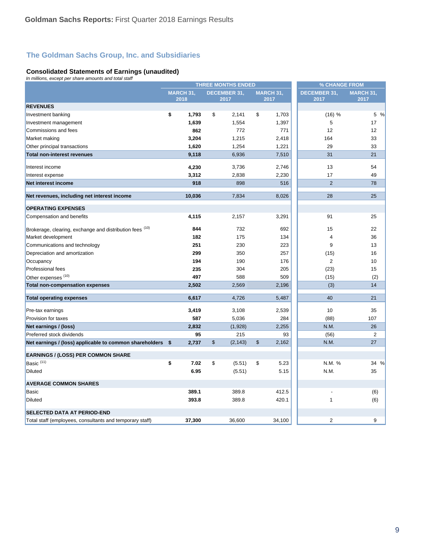#### **Consolidated Statements of Earnings (unaudited)**

*In millions, except per share amounts and total staff*

|                                                          |                          |               | <b>THREE MONTHS ENDED</b>   |               |                          |                             | % CHANGE FROM  |                          |  |
|----------------------------------------------------------|--------------------------|---------------|-----------------------------|---------------|--------------------------|-----------------------------|----------------|--------------------------|--|
|                                                          | <b>MARCH 31,</b><br>2018 |               | <b>DECEMBER 31,</b><br>2017 |               | <b>MARCH 31,</b><br>2017 | <b>DECEMBER 31,</b><br>2017 |                | <b>MARCH 31,</b><br>2017 |  |
| <b>REVENUES</b>                                          |                          |               |                             |               |                          |                             |                |                          |  |
| Investment banking                                       | \$<br>1,793              | \$            | 2,141                       | \$            | 1,703                    |                             | (16) %         | 5 %                      |  |
| Investment management                                    | 1,639                    |               | 1,554                       |               | 1,397                    |                             | 5              | 17                       |  |
| Commissions and fees                                     | 862                      |               | 772                         |               | 771                      |                             | 12             | 12                       |  |
| Market making                                            | 3,204                    |               | 1,215                       |               | 2,418                    |                             | 164            | 33                       |  |
| Other principal transactions                             | 1,620                    |               | 1,254                       |               | 1,221                    |                             | 29             | 33                       |  |
| Total non-interest revenues                              | 9,118                    |               | 6,936                       |               | 7,510                    |                             | 31             | 21                       |  |
| Interest income                                          | 4,230                    |               | 3,736                       |               | 2,746                    |                             | 13             | 54                       |  |
| Interest expense                                         | 3,312                    |               | 2,838                       |               | 2,230                    |                             | 17             | 49                       |  |
| Net interest income                                      | 918                      |               | 898                         |               | 516                      |                             | $\overline{2}$ | 78                       |  |
| Net revenues, including net interest income              | 10,036                   |               | 7,834                       |               | 8,026                    |                             | 28             | 25                       |  |
| <b>OPERATING EXPENSES</b>                                |                          |               |                             |               |                          |                             |                |                          |  |
| Compensation and benefits                                | 4,115                    |               | 2,157                       |               | 3,291                    |                             | 91             | 25                       |  |
| Brokerage, clearing, exchange and distribution fees (10) | 844                      |               | 732                         |               | 692                      |                             | 15             | 22                       |  |
| Market development                                       | 182                      |               | 175                         |               | 134                      |                             | $\overline{4}$ | 36                       |  |
| Communications and technology                            | 251                      |               | 230                         |               | 223                      |                             | 9              | 13                       |  |
| Depreciation and amortization                            | 299                      |               | 350                         |               | 257                      |                             | (15)           | 16                       |  |
| Occupancy                                                | 194                      |               | 190                         |               | 176                      |                             | $\overline{2}$ | 10                       |  |
| <b>Professional fees</b>                                 | 235                      |               | 304                         |               | 205                      |                             | (23)           | 15                       |  |
| Other expenses <sup>(10)</sup>                           | 497                      |               | 588                         |               | 509                      |                             | (15)           | (2)                      |  |
| <b>Total non-compensation expenses</b>                   | 2,502                    |               | 2,569                       |               | 2,196                    |                             | (3)            | 14                       |  |
| <b>Total operating expenses</b>                          | 6,617                    |               | 4,726                       |               | 5,487                    |                             | 40             | 21                       |  |
| Pre-tax earnings                                         | 3,419                    |               | 3,108                       |               | 2,539                    |                             | 10             | 35                       |  |
| <b>Provision for taxes</b>                               | 587                      |               | 5,036                       |               | 284                      |                             | (88)           | 107                      |  |
| Net earnings / (loss)                                    | 2,832                    |               | (1,928)                     |               | 2,255                    |                             | N.M.           | 26                       |  |
| Preferred stock dividends                                | 95                       |               | 215                         |               | 93                       |                             | (56)           | $\overline{2}$           |  |
| Net earnings / (loss) applicable to common shareholders  | \$<br>2,737              | $\mathsf{\$}$ | (2, 143)                    | $\frac{1}{2}$ | 2,162                    |                             | N.M.           | 27                       |  |
| <b>EARNINGS / (LOSS) PER COMMON SHARE</b>                |                          |               |                             |               |                          |                             |                |                          |  |
| Basic <sup>(11)</sup>                                    | \$<br>7.02               | \$            | (5.51)                      | \$            | 5.23                     |                             | N.M. %         | 34 %                     |  |
| <b>Diluted</b>                                           | 6.95                     |               | (5.51)                      |               | 5.15                     |                             | N.M.           | 35                       |  |
| <b>AVERAGE COMMON SHARES</b>                             |                          |               |                             |               |                          |                             |                |                          |  |
| <b>Basic</b>                                             | 389.1                    |               | 389.8                       |               | 412.5                    |                             |                | (6)                      |  |
| <b>Diluted</b>                                           | 393.8                    |               | 389.8                       |               | 420.1                    |                             | $\mathbf{1}$   | (6)                      |  |
| <b>SELECTED DATA AT PERIOD-END</b>                       |                          |               |                             |               |                          |                             |                |                          |  |
| Total staff (employees, consultants and temporary staff) | 37.300                   |               | 36,600                      |               | 34,100                   |                             | $\overline{2}$ | 9                        |  |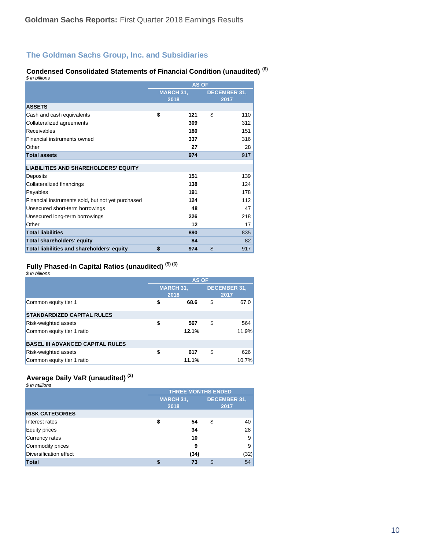#### **Condensed Consolidated Statements of Financial Condition (unaudited) (6)**

| \$ in billions                                    |                          |     |    |                             |  |
|---------------------------------------------------|--------------------------|-----|----|-----------------------------|--|
|                                                   | <b>AS OF</b>             |     |    |                             |  |
|                                                   | <b>MARCH 31,</b><br>2018 |     |    | <b>DECEMBER 31,</b><br>2017 |  |
| <b>ASSETS</b>                                     |                          |     |    |                             |  |
| Cash and cash equivalents                         | \$                       | 121 | \$ | 110                         |  |
| Collateralized agreements                         |                          | 309 |    | 312                         |  |
| Receivables                                       |                          | 180 |    | 151                         |  |
| Financial instruments owned                       |                          | 337 |    | 316                         |  |
| Other                                             |                          | 27  |    | 28                          |  |
| <b>Total assets</b>                               |                          | 974 |    | 917                         |  |
| <b>LIABILITIES AND SHAREHOLDERS' EQUITY</b>       |                          |     |    |                             |  |
| Deposits                                          |                          | 151 |    | 139                         |  |
| Collateralized financings                         |                          | 138 |    | 124                         |  |
| Payables                                          |                          | 191 |    | 178                         |  |
| Financial instruments sold, but not yet purchased |                          | 124 |    | 112                         |  |
| Unsecured short-term borrowings                   |                          | 48  |    | 47                          |  |
| Unsecured long-term borrowings                    |                          | 226 |    | 218                         |  |
| Other                                             |                          | 12  |    | 17                          |  |
| <b>Total liabilities</b>                          |                          | 890 |    | 835                         |  |
| Total shareholders' equity                        |                          | 84  |    | 82                          |  |
| Total liabilities and shareholders' equity        | \$                       | 974 | \$ | 917                         |  |

#### **Fully Phased-In Capital Ratios (unaudited) (5) (6)**

|  | \$ in billions |
|--|----------------|
|  |                |

|                                         | <b>AS OF</b>             |       |    |                             |  |  |
|-----------------------------------------|--------------------------|-------|----|-----------------------------|--|--|
|                                         | <b>MARCH 31,</b><br>2018 |       |    | <b>DECEMBER 31.</b><br>2017 |  |  |
| Common equity tier 1                    |                          | 68.6  | \$ | 67.0                        |  |  |
| <b>STANDARDIZED CAPITAL RULES</b>       |                          |       |    |                             |  |  |
| <b>Risk-weighted assets</b>             | S                        | 567   | \$ | 564                         |  |  |
| Common equity tier 1 ratio              |                          | 12.1% |    | 11.9%                       |  |  |
| <b>BASEL III ADVANCED CAPITAL RULES</b> |                          |       |    |                             |  |  |
| <b>Risk-weighted assets</b>             | S                        | 617   | \$ | 626                         |  |  |
| Common equity tier 1 ratio              |                          | 11.1% |    | 10.7%                       |  |  |

### **Average Daily VaR (unaudited) (2)**

| \$ in millions         |                           |      |                             |      |  |  |
|------------------------|---------------------------|------|-----------------------------|------|--|--|
|                        | <b>THREE MONTHS ENDED</b> |      |                             |      |  |  |
|                        | <b>MARCH 31,</b><br>2018  |      | <b>DECEMBER 31,</b><br>2017 |      |  |  |
| <b>RISK CATEGORIES</b> |                           |      |                             |      |  |  |
| Interest rates         |                           | 54   | \$                          | 40   |  |  |
| <b>Equity prices</b>   |                           | 34   |                             | 28   |  |  |
| Currency rates         |                           | 10   |                             | 9    |  |  |
| Commodity prices       |                           | 9    |                             | 9    |  |  |
| Diversification effect |                           | (34) |                             | (32) |  |  |
| Total                  |                           | 73   | S                           | 54   |  |  |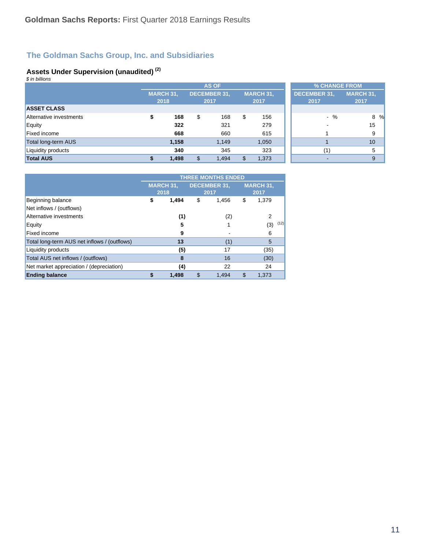#### **Assets Under Supervision (unaudited) (2)**

| \$ in billions          |                  |       |                     |       |                  |       |                     |       |                  |
|-------------------------|------------------|-------|---------------------|-------|------------------|-------|---------------------|-------|------------------|
|                         | <b>AS OF</b>     |       |                     |       |                  |       | % CHANGE FROM       |       |                  |
|                         | <b>MARCH 31,</b> |       | <b>DECEMBER 31.</b> |       | <b>MARCH 31,</b> |       | <b>DECEMBER 31,</b> |       | <b>MARCH 31,</b> |
|                         |                  | 2018  |                     | 2017  | 2017             |       | 2017                |       | 2017             |
| <b>ASSET CLASS</b>      |                  |       |                     |       |                  |       |                     |       |                  |
| Alternative investments | \$               | 168   | \$                  | 168   | \$               | 156   |                     | $-$ % | 8 %              |
| Equity                  |                  | 322   |                     | 321   |                  | 279   |                     |       | 15               |
| <b>Fixed income</b>     |                  | 668   |                     | 660   |                  | 615   |                     |       | 9                |
| Total long-term AUS     |                  | 1,158 |                     | 1,149 |                  | 1,050 |                     |       | 10               |
| Liquidity products      |                  | 340   |                     | 345   |                  | 323   |                     | (1)   | 5                |
| <b>Total AUS</b>        | \$               | 1,498 | \$                  | 1,494 | \$               | 1,373 |                     |       | 9                |

|                                              | <b>THREE MONTHS ENDED</b> |       |                     |       |                  |             |
|----------------------------------------------|---------------------------|-------|---------------------|-------|------------------|-------------|
|                                              | <b>MARCH 31,</b>          |       | <b>DECEMBER 31.</b> |       | <b>MARCH 31,</b> |             |
|                                              | 2018                      |       | 2017                |       | 2017             |             |
| Beginning balance                            | \$                        | 1,494 | \$                  | 1,456 | \$               | 1,379       |
| Net inflows / (outflows)                     |                           |       |                     |       |                  |             |
| Alternative investments                      |                           | (1)   |                     | (2)   |                  | 2           |
| Equity                                       |                           | 5     |                     |       |                  | (12)<br>(3) |
| Fixed income                                 |                           | 9     |                     |       |                  | 6           |
| Total long-term AUS net inflows / (outflows) |                           | 13    |                     | (1)   |                  | 5           |
| <b>Liquidity products</b>                    |                           | (5)   |                     | 17    |                  | (35)        |
| Total AUS net inflows / (outflows)           |                           | 8     |                     | 16    |                  | (30)        |
| Net market appreciation / (depreciation)     |                           | (4)   |                     | 22    |                  | 24          |
| <b>Ending balance</b>                        |                           | 1,498 | \$                  | 1,494 | \$               | 1.373       |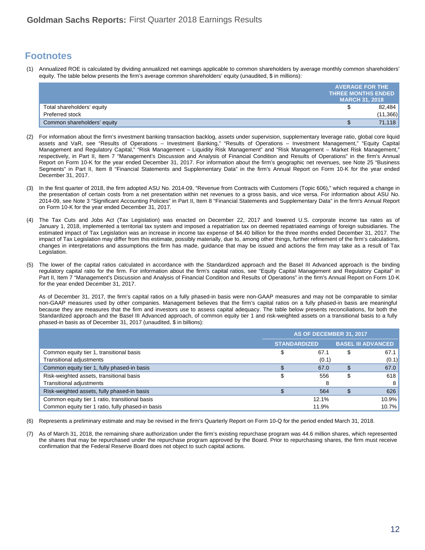### **Footnotes**

(1) Annualized ROE is calculated by dividing annualized net earnings applicable to common shareholders by average monthly common shareholders' equity. The table below presents the firm's average common shareholders' equity (unaudited, \$ in millions):

|                             | <b>AVERAGE FOR THE</b>    |
|-----------------------------|---------------------------|
|                             | <b>THREE MONTHS ENDED</b> |
|                             | <b>MARCH 31, 2018</b>     |
| Total shareholders' equity  | 82,484                    |
| Preferred stock             | (11, 366)                 |
| Common shareholders' equity | 71,118                    |

- (2) For information about the firm's investment banking transaction backlog, assets under supervision, supplementary leverage ratio, global core liquid assets and VaR, see "Results of Operations – Investment Banking," "Results of Operations – Investment Management," "Equity Capital Management and Regulatory Capital," "Risk Management – Liquidity Risk Management" and "Risk Management – Market Risk Management," respectively, in Part II, Item 7 "Management's Discussion and Analysis of Financial Condition and Results of Operations" in the firm's Annual Report on Form 10-K for the year ended December 31, 2017. For information about the firm's geographic net revenues, see Note 25 "Business Segments" in Part II, Item 8 "Financial Statements and Supplementary Data" in the firm's Annual Report on Form 10-K for the year ended December 31, 2017.
- In the first quarter of 2018, the firm adopted ASU No. 2014-09, "Revenue from Contracts with Customers (Topic 606)," which required a change in the presentation of certain costs from a net presentation within net revenues to a gross basis, and vice versa. For information about ASU No. 2014-09, see Note 3 "Significant Accounting Policies" in Part II, Item 8 "Financial Statements and Supplementary Data" in the firm's Annual Report on Form 10-K for the year ended December 31, 2017.
- (4) The Tax Cuts and Jobs Act (Tax Legislation) was enacted on December 22, 2017 and lowered U.S. corporate income tax rates as of January 1, 2018, implemented a territorial tax system and imposed a repatriation tax on deemed repatriated earnings of foreign subsidiaries. The estimated impact of Tax Legislation was an increase in income tax expense of \$4.40 billion for the three months ended December 31, 2017. The impact of Tax Legislation may differ from this estimate, possibly materially, due to, among other things, further refinement of the firm's calculations, changes in interpretations and assumptions the firm has made, guidance that may be issued and actions the firm may take as a result of Tax Legislation.
- (5) The lower of the capital ratios calculated in accordance with the Standardized approach and the Basel III Advanced approach is the binding regulatory capital ratio for the firm. For information about the firm's capital ratios, see "Equity Capital Management and Regulatory Capital" in Part II, Item 7 "Management's Discussion and Analysis of Financial Condition and Results of Operations" in the firm's Annual Report on Form 10-K for the year ended December 31, 2017.

As of December 31, 2017, the firm's capital ratios on a fully phased-in basis were non-GAAP measures and may not be comparable to similar non-GAAP measures used by other companies. Management believes that the firm's capital ratios on a fully phased-in basis are meaningful because they are measures that the firm and investors use to assess capital adequacy. The table below presents reconciliations, for both the Standardized approach and the Basel III Advanced approach, of common equity tier 1 and risk-weighted assets on a transitional basis to a fully phased-in basis as of December 31, 2017 (unaudited, \$ in billions):

|                                                   | AS OF DECEMBER 31, 2017 |       |    |                           |
|---------------------------------------------------|-------------------------|-------|----|---------------------------|
|                                                   | <b>STANDARDIZED</b>     |       |    | <b>BASEL III ADVANCED</b> |
| Common equity tier 1, transitional basis          | \$                      | 67.1  | \$ | 67.1                      |
| <b>Transitional adjustments</b>                   |                         | (0.1) |    | (0.1)                     |
| Common equity tier 1, fully phased-in basis       |                         | 67.0  |    | 67.0                      |
| Risk-weighted assets, transitional basis          |                         | 556   | S  | 618                       |
| <b>Transitional adjustments</b>                   |                         | 8     |    | 8 <sup>1</sup>            |
| Risk-weighted assets, fully phased-in basis       |                         | 564   | S  | 626                       |
| Common equity tier 1 ratio, transitional basis    |                         | 12.1% |    | 10.9%                     |
| Common equity tier 1 ratio, fully phased-in basis |                         | 11.9% |    | 10.7%                     |

- (6) Represents a preliminary estimate and may be revised in the firm's Quarterly Report on Form 10-Q for the period ended March 31, 2018.
- (7) As of March 31, 2018, the remaining share authorization under the firm's existing repurchase program was 44.6 million shares, which represented the shares that may be repurchased under the repurchase program approved by the Board. Prior to repurchasing shares, the firm must receive confirmation that the Federal Reserve Board does not object to such capital actions.